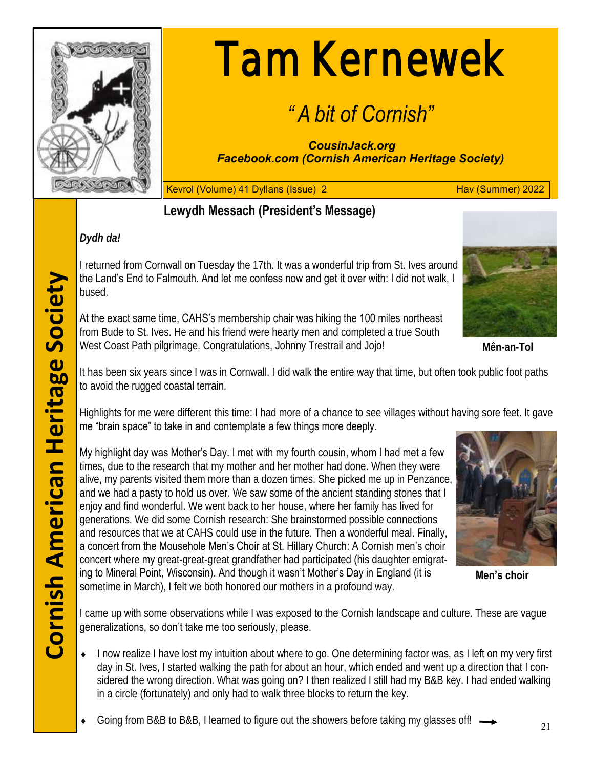

# Tam Kernewek

# *" A bit of Cornish"*

*CousinJack.org Facebook.com (Cornish American Heritage Society)*

Kevrol (Volume) 41 Dyllans (Issue) 2 **Hav (Summer) 2022** 

# **Lewydh Messach (President's Message)**

# *Dydh da!*

I returned from Cornwall on Tuesday the 17th. It was a wonderful trip from St. Ives around the Land's End to Falmouth. And let me confess now and get it over with: I did not walk, I bused.

At the exact same time, CAHS's membership chair was hiking the 100 miles northeast from Bude to St. Ives. He and his friend were hearty men and completed a true South West Coast Path pilgrimage. Congratulations, Johnny Trestrail and Jojo!

**Mên-an-Tol** 

It has been six years since I was in Cornwall. I did walk the entire way that time, but often took public foot paths to avoid the rugged coastal terrain.

Highlights for me were different this time: I had more of a chance to see villages without having sore feet. It gave me "brain space" to take in and contemplate a few things more deeply.

My highlight day was Mother's Day. I met with my fourth cousin, whom I had met a few times, due to the research that my mother and her mother had done. When they were alive, my parents visited them more than a dozen times. She picked me up in Penzance, and we had a pasty to hold us over. We saw some of the ancient standing stones that I enjoy and find wonderful. We went back to her house, where her family has lived for generations. We did some Cornish research: She brainstormed possible connections and resources that we at CAHS could use in the future. Then a wonderful meal. Finally, a concert from the Mousehole Men's Choir at St. Hillary Church: A Cornish men's choir concert where my great-great-great grandfather had participated (his daughter emigrating to Mineral Point, Wisconsin). And though it wasn't Mother's Day in England (it is sometime in March), I felt we both honored our mothers in a profound way.



**Men's choir**

I came up with some observations while I was exposed to the Cornish landscape and culture. These are vague generalizations, so don't take me too seriously, please.

- ◆ I now realize I have lost my intuition about where to go. One determining factor was, as I left on my very first day in St. Ives, I started walking the path for about an hour, which ended and went up a direction that I considered the wrong direction. What was going on? I then realized I still had my B&B key. I had ended walking in a circle (fortunately) and only had to walk three blocks to return the key.
- Going from B&B to B&B, I learned to figure out the showers before taking my glasses off!  $\longrightarrow$  21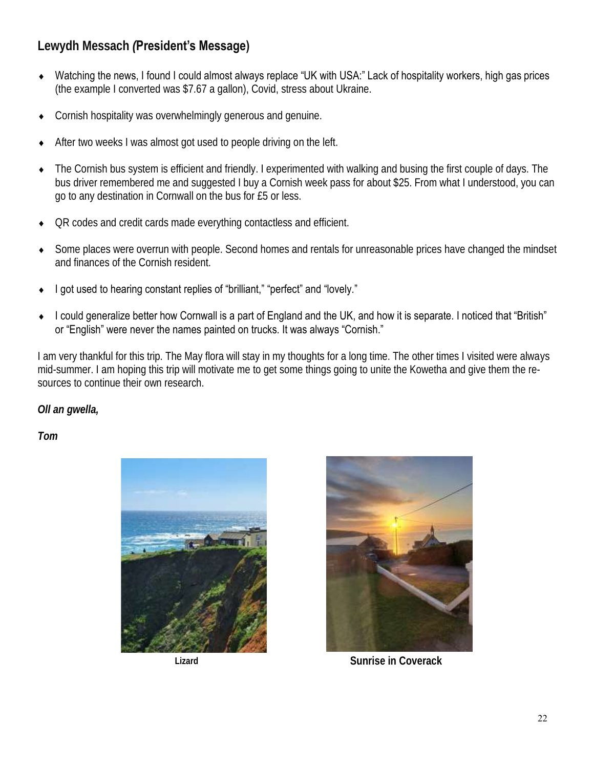**Lewydh Messach** *(***President's Message)**

- Watching the news, I found I could almost always replace "UK with USA:" Lack of hospitality workers, high gas prices (the example I converted was \$7.67 a gallon), Covid, stress about Ukraine.
- Cornish hospitality was overwhelmingly generous and genuine.
- After two weeks I was almost got used to people driving on the left.
- The Cornish bus system is efficient and friendly. I experimented with walking and busing the first couple of days. The bus driver remembered me and suggested I buy a Cornish week pass for about \$25. From what I understood, you can go to any destination in Cornwall on the bus for £5 or less.
- QR codes and credit cards made everything contactless and efficient.
- Some places were overrun with people. Second homes and rentals for unreasonable prices have changed the mindset and finances of the Cornish resident.
- I got used to hearing constant replies of "brilliant," "perfect" and "lovely."
- I could generalize better how Cornwall is a part of England and the UK, and how it is separate. I noticed that "British" or "English" were never the names painted on trucks. It was always "Cornish."

I am very thankful for this trip. The May flora will stay in my thoughts for a long time. The other times I visited were always mid-summer. I am hoping this trip will motivate me to get some things going to unite the Kowetha and give them the resources to continue their own research.

*Oll an gwella,* 

*Tom* 





**Lizard Sunrise in Coverack**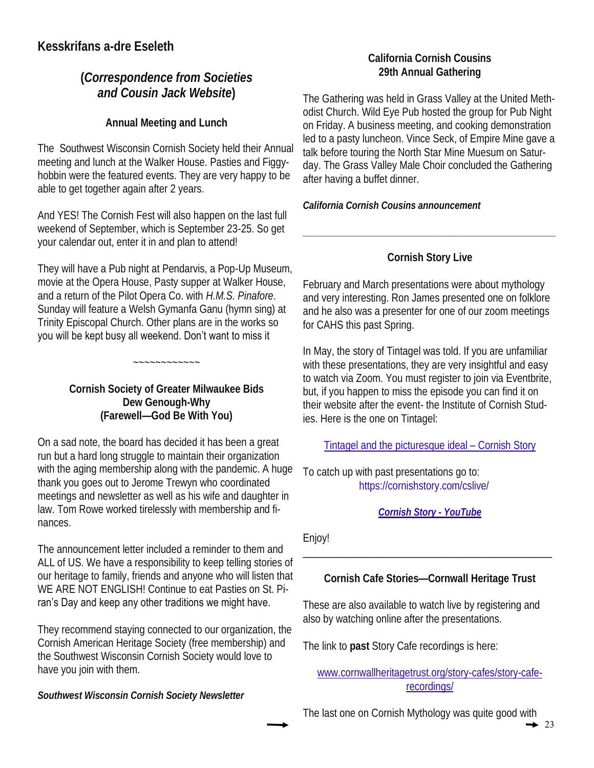# **Kesskrifans a-dre Eseleth**

# **(***Correspondence from Societies and Cousin Jack Website***)**

**Annual Meeting and Lunch**

The Southwest Wisconsin Cornish Society held their Annual meeting and lunch at the Walker House. Pasties and Figgyhobbin were the featured events. They are very happy to be able to get together again after 2 years.

And YES! The Cornish Fest will also happen on the last full weekend of September, which is September 23-25. So get your calendar out, enter it in and plan to attend!

They will have a Pub night at Pendarvis, a Pop-Up Museum, movie at the Opera House, Pasty supper at Walker House, and a return of the Pilot Opera Co. with *H.M.S. Pinafore*. Sunday will feature a Welsh Gymanfa Ganu (hymn sing) at Trinity Episcopal Church. Other plans are in the works so you will be kept busy all weekend. Don't want to miss it

> **Cornish Society of Greater Milwaukee Bids Dew Genough-Why (Farewell—God Be With You)**

~~~~~~~~~~~~

On a sad note, the board has decided it has been a great run but a hard long struggle to maintain their organization with the aging membership along with the pandemic. A huge thank you goes out to Jerome Trewyn who coordinated meetings and newsletter as well as his wife and daughter in law. Tom Rowe worked tirelessly with membership and finances.

The announcement letter included a reminder to them and ALL of US. We have a responsibility to keep telling stories of our heritage to family, friends and anyone who will listen that WE ARE NOT ENGLISH! Continue to eat Pasties on St. Piran's Day and keep any other traditions we might have.

They recommend staying connected to our organization, the Cornish American Heritage Society (free membership) and the Southwest Wisconsin Cornish Society would love to have you join with them.

*Southwest Wisconsin Cornish Society Newsletter*

# **California Cornish Cousins 29th Annual Gathering**

The Gathering was held in Grass Valley at the United Methodist Church. Wild Eye Pub hosted the group for Pub Night on Friday. A business meeting, and cooking demonstration led to a pasty luncheon. Vince Seck, of Empire Mine gave a talk before touring the North Star Mine Muesum on Saturday. The Grass Valley Male Choir concluded the Gathering after having a buffet dinner.

*California Cornish Cousins announcement*

# **Cornish Story Live**

*\_\_\_\_\_\_\_\_\_\_\_\_\_\_\_\_\_\_\_\_\_\_\_\_\_\_\_\_\_\_\_\_\_\_\_\_\_\_\_\_\_\_\_\_\_\_\_\_\_\_\_\_*

February and March presentations were about mythology and very interesting. Ron James presented one on folklore and he also was a presenter for one of our zoom meetings for CAHS this past Spring.

In May, the story of Tintagel was told. If you are unfamiliar with these presentations, they are very insightful and easy to watch via Zoom. You must register to join via Eventbrite, but, if you happen to miss the episode you can find it on their website after the event- the Institute of Cornish Studies. Here is the one on Tintagel:

Tintagel and the picturesque ideal – Cornish Story

To catch up with past presentations go to: https://cornishstory.com/cslive/

*Cornish Story - YouTube* 

Enjoy!

**Cornish Cafe Stories—Cornwall Heritage Trust** 

\_\_\_\_\_\_\_\_\_\_\_\_\_\_\_\_\_\_\_\_\_\_\_\_\_\_\_\_\_\_\_\_\_\_\_\_\_\_\_\_\_\_\_\_\_\_\_

These are also available to watch live by registering and also by watching online after the presentations.

The link to **past** Story Cafe recordings is here:

www.cornwallheritagetrust.org/story-cafes/story-caferecordings/

The last one on Cornish Mythology was quite good with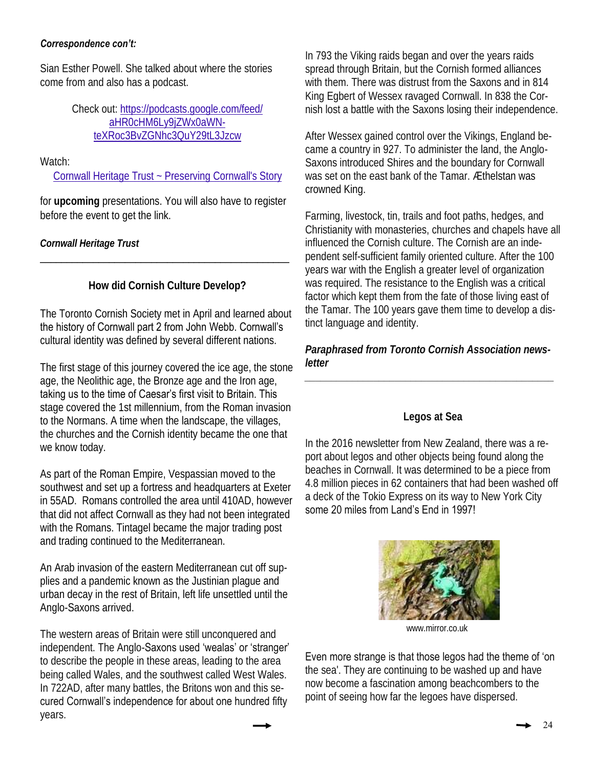#### *Correspondence con't:*

Sian Esther Powell. She talked about where the stories come from and also has a podcast.

> Check out: https://podcasts.google.com/feed/ aHR0cHM6Ly9jZWx0aWNteXRoc3BvZGNhc3QuY29tL3Jzcw

Watch:

Cornwall Heritage Trust ~ Preserving Cornwall's Story

for **upcoming** presentations. You will also have to register before the event to get the link.

*Cornwall Heritage Trust*

**How did Cornish Culture Develop?**

\_\_\_\_\_\_\_\_\_\_\_\_\_\_\_\_\_\_\_\_\_\_\_\_\_\_\_\_\_\_\_\_\_\_\_\_\_\_\_\_\_\_\_\_\_\_\_

The Toronto Cornish Society met in April and learned about the history of Cornwall part 2 from John Webb. Cornwall's cultural identity was defined by several different nations.

The first stage of this journey covered the ice age, the stone age, the Neolithic age, the Bronze age and the Iron age, taking us to the time of Caesar's first visit to Britain. This stage covered the 1st millennium, from the Roman invasion to the Normans. A time when the landscape, the villages, the churches and the Cornish identity became the one that we know today.

As part of the Roman Empire, Vespassian moved to the southwest and set up a fortress and headquarters at Exeter in 55AD. Romans controlled the area until 410AD, however that did not affect Cornwall as they had not been integrated with the Romans. Tintagel became the major trading post and trading continued to the Mediterranean.

An Arab invasion of the eastern Mediterranean cut off supplies and a pandemic known as the Justinian plague and urban decay in the rest of Britain, left life unsettled until the Anglo-Saxons arrived.

The western areas of Britain were still unconquered and independent. The Anglo-Saxons used 'wealas' or 'stranger' to describe the people in these areas, leading to the area being called Wales, and the southwest called West Wales. In 722AD, after many battles, the Britons won and this secured Cornwall's independence for about one hundred fifty years.

In 793 the Viking raids began and over the years raids spread through Britain, but the Cornish formed alliances with them. There was distrust from the Saxons and in 814 King Egbert of Wessex ravaged Cornwall. In 838 the Cornish lost a battle with the Saxons losing their independence.

After Wessex gained control over the Vikings, England became a country in 927. To administer the land, the Anglo-Saxons introduced Shires and the boundary for Cornwall was set on the east bank of the Tamar. Æthelstan was crowned King.

Farming, livestock, tin, trails and foot paths, hedges, and Christianity with monasteries, churches and chapels have all influenced the Cornish culture. The Cornish are an independent self-sufficient family oriented culture. After the 100 years war with the English a greater level of organization was required. The resistance to the English was a critical factor which kept them from the fate of those living east of the Tamar. The 100 years gave them time to develop a distinct language and identity.

*Paraphrased from Toronto Cornish Association newsletter*

*\_\_\_\_\_\_\_\_\_\_\_\_\_\_\_\_\_\_\_\_\_\_\_\_\_\_\_\_\_\_\_\_\_\_\_\_\_\_\_\_\_\_\_\_\_\_\_* 

# **Legos at Sea**

In the 2016 newsletter from New Zealand, there was a report about legos and other objects being found along the beaches in Cornwall. It was determined to be a piece from 4.8 million pieces in 62 containers that had been washed off a deck of the Tokio Express on its way to New York City some 20 miles from Land's End in 1997!



www.mirror.co.uk

Even more strange is that those legos had the theme of 'on

the sea'. They are continuing to be washed up and have now become a fascination among beachcombers to the point of seeing how far the legoes have dispersed.

24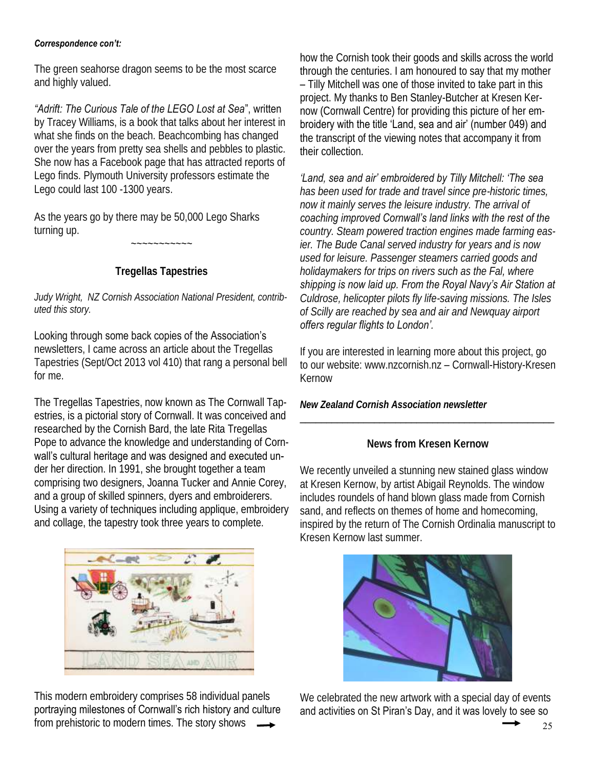#### *Correspondence con't:*

The green seahorse dragon seems to be the most scarce and highly valued.

*"Adrift: The Curious Tale of the LEGO Lost at Sea*", written by Tracey Williams, is a book that talks about her interest in what she finds on the beach. Beachcombing has changed over the years from pretty sea shells and pebbles to plastic. She now has a Facebook page that has attracted reports of Lego finds. Plymouth University professors estimate the Lego could last 100 -1300 years.

As the years go by there may be 50,000 Lego Sharks turning up.

**Tregellas Tapestries**

 $\sim$ ~~~~~~~

*Judy Wright, NZ Cornish Association National President, contributed this story.* 

# Looking through some back copies of the Association's

newsletters, I came across an article about the Tregellas Tapestries (Sept/Oct 2013 vol 410) that rang a personal bell for me.

The Tregellas Tapestries, now known as The Cornwall Tapestries, is a pictorial story of Cornwall. It was conceived and researched by the Cornish Bard, the late Rita Tregellas Pope to advance the knowledge and understanding of Cornwall's cultural heritage and was designed and executed under her direction. In 1991, she brought together a team comprising two designers, Joanna Tucker and Annie Corey, and a group of skilled spinners, dyers and embroiderers. Using a variety of techniques including applique, embroidery and collage, the tapestry took three years to complete.



This modern embroidery comprises 58 individual panels portraying milestones of Cornwall's rich history and culture from prehistoric to modern times. The story shows

how the Cornish took their goods and skills across the world through the centuries. I am honoured to say that my mother – Tilly Mitchell was one of those invited to take part in this project. My thanks to Ben Stanley-Butcher at Kresen Kernow (Cornwall Centre) for providing this picture of her embroidery with the title 'Land, sea and air' (number 049) and the transcript of the viewing notes that accompany it from their collection.

*'Land, sea and air' embroidered by Tilly Mitchell: 'The sea has been used for trade and travel since pre-historic times, now it mainly serves the leisure industry. The arrival of coaching improved Cornwall's land links with the rest of the country. Steam powered traction engines made farming easier. The Bude Canal served industry for years and is now used for leisure. Passenger steamers carried goods and holidaymakers for trips on rivers such as the Fal, where shipping is now laid up. From the Royal Navy's Air Station at Culdrose, helicopter pilots fly life-saving missions. The Isles of Scilly are reached by sea and air and Newquay airport offers regular flights to London'.* 

If you are interested in learning more about this project, go to our website: www.nzcornish.nz – Cornwall-History-Kresen Kernow

*New Zealand Cornish Association newsletter*

# **News from Kresen Kernow**

\_\_\_\_\_\_\_\_\_\_\_\_\_\_\_\_\_\_\_\_\_\_\_\_\_\_\_\_\_\_\_\_\_\_\_\_\_\_\_\_\_\_\_\_\_\_\_\_

We recently unveiled a stunning new stained glass window at Kresen Kernow, by artist Abigail Reynolds. The window includes roundels of hand blown glass made from Cornish sand, and reflects on themes of home and homecoming, inspired by the return of The Cornish Ordinalia manuscript to Kresen Kernow last summer.



We celebrated the new artwork with a special day of events and activities on St Piran's Day, and it was lovely to see so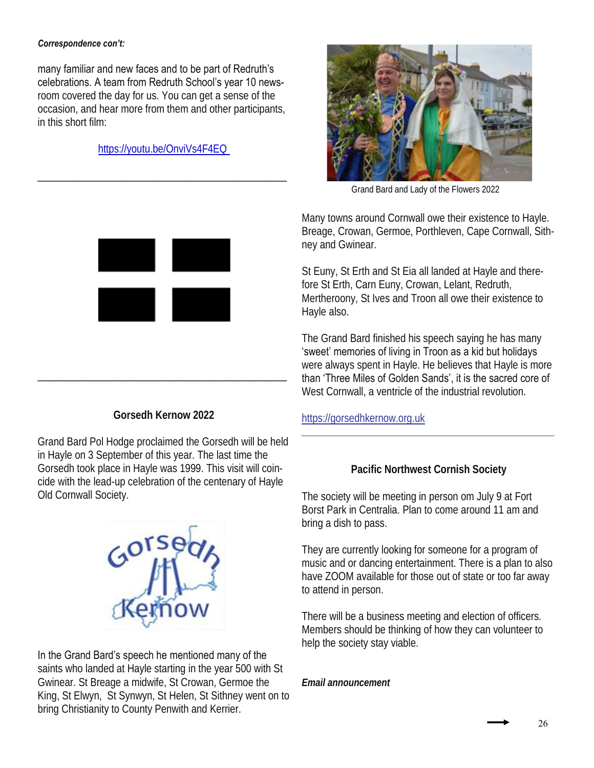#### *Correspondence con't:*

many familiar and new faces and to be part of Redruth's celebrations. A team from Redruth School's year 10 newsroom covered the day for us. You can get a sense of the occasion, and hear more from them and other participants, in this short film:

https://youtu.be/OnviVs4F4EQ

\_\_\_\_\_\_\_\_\_\_\_\_\_\_\_\_\_\_\_\_\_\_\_\_\_\_\_\_\_\_\_\_\_\_\_\_\_\_\_\_\_\_\_\_\_\_\_



Grand Bard and Lady of the Flowers 2022

Many towns around Cornwall owe their existence to Hayle. Breage, Crowan, Germoe, Porthleven, Cape Cornwall, Sithney and Gwinear.

St Euny, St Erth and St Eia all landed at Hayle and therefore St Erth, Carn Euny, Crowan, Lelant, Redruth, Mertheroony, St Ives and Troon all owe their existence to Hayle also.

The Grand Bard finished his speech saying he has many 'sweet' memories of living in Troon as a kid but holidays were always spent in Hayle. He believes that Hayle is more than 'Three Miles of Golden Sands', it is the sacred core of West Cornwall, a ventricle of the industrial revolution.

https://gorsedhkernow.org.uk

# **Pacific Northwest Cornish Society**

*\_\_\_\_\_\_\_\_\_\_\_\_\_\_\_\_\_\_\_\_\_\_\_\_\_\_\_\_\_\_\_\_\_\_\_\_\_\_\_\_\_\_\_\_\_\_\_\_\_\_\_\_*

The society will be meeting in person om July 9 at Fort Borst Park in Centralia. Plan to come around 11 am and bring a dish to pass.

They are currently looking for someone for a program of music and or dancing entertainment. There is a plan to also have ZOOM available for those out of state or too far away to attend in person.

There will be a business meeting and election of officers. Members should be thinking of how they can volunteer to help the society stay viable.

*Email announcement*



**Gorsedh Kernow 2022**

\_\_\_\_\_\_\_\_\_\_\_\_\_\_\_\_\_\_\_\_\_\_\_\_\_\_\_\_\_\_\_\_\_\_\_\_\_\_\_\_\_\_\_\_\_\_\_

Grand Bard Pol Hodge proclaimed the Gorsedh will be held in Hayle on 3 September of this year. The last time the Gorsedh took place in Hayle was 1999. This visit will coincide with the lead-up celebration of the centenary of Hayle Old Cornwall Society.



# In the Grand Bard's speech he mentioned many of the

saints who landed at Hayle starting in the year 500 with St Gwinear. St Breage a midwife, St Crowan, Germoe the King, St Elwyn, St Synwyn, St Helen, St Sithney went on to bring Christianity to County Penwith and Kerrier.

26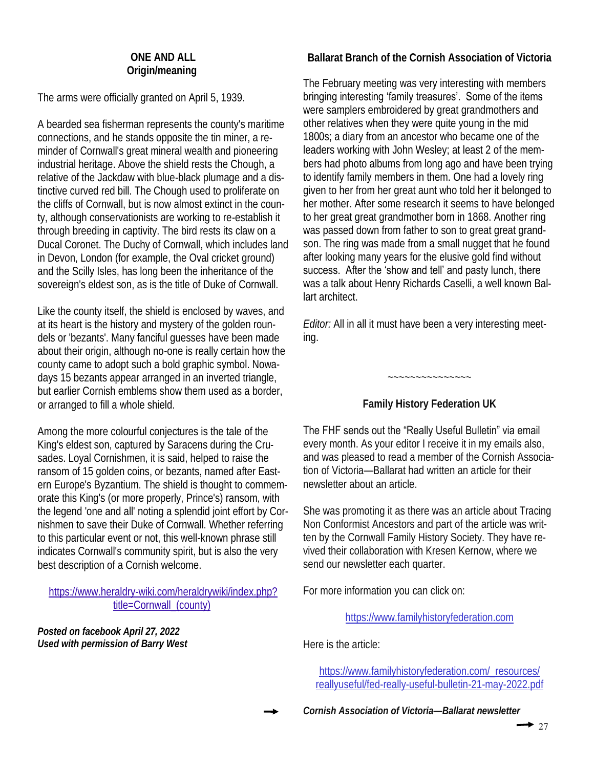#### **ONE AND ALL Origin/meaning**

The arms were officially granted on April 5, 1939.

A bearded sea fisherman represents the county's maritime connections, and he stands opposite the tin miner, a reminder of Cornwall's great mineral wealth and pioneering industrial heritage. Above the shield rests the Chough, a relative of the Jackdaw with blue-black plumage and a distinctive curved red bill. The Chough used to proliferate on the cliffs of Cornwall, but is now almost extinct in the county, although conservationists are working to re-establish it through breeding in captivity. The bird rests its claw on a Ducal Coronet. The Duchy of Cornwall, which includes land in Devon, London (for example, the Oval cricket ground) and the Scilly Isles, has long been the inheritance of the sovereign's eldest son, as is the title of Duke of Cornwall.

Like the county itself, the shield is enclosed by waves, and at its heart is the history and mystery of the golden roundels or 'bezants'. Many fanciful guesses have been made about their origin, although no-one is really certain how the county came to adopt such a bold graphic symbol. Nowadays 15 bezants appear arranged in an inverted triangle, but earlier Cornish emblems show them used as a border, or arranged to fill a whole shield.

Among the more colourful conjectures is the tale of the King's eldest son, captured by Saracens during the Crusades. Loyal Cornishmen, it is said, helped to raise the ransom of 15 golden coins, or bezants, named after Eastern Europe's Byzantium. The shield is thought to commemorate this King's (or more properly, Prince's) ransom, with the legend 'one and all' noting a splendid joint effort by Cornishmen to save their Duke of Cornwall. Whether referring to this particular event or not, this well-known phrase still indicates Cornwall's community spirit, but is also the very best description of a Cornish welcome.

https://www.heraldry-wiki.com/heraldrywiki/index.php? title=Cornwall (county)

*Posted on facebook April 27, 2022 Used with permission of Barry West* **Ballarat Branch of the Cornish Association of Victoria**

The February meeting was very interesting with members bringing interesting 'family treasures'. Some of the items were samplers embroidered by great grandmothers and other relatives when they were quite young in the mid 1800s; a diary from an ancestor who became one of the leaders working with John Wesley; at least 2 of the members had photo albums from long ago and have been trying to identify family members in them. One had a lovely ring given to her from her great aunt who told her it belonged to her mother. After some research it seems to have belonged to her great great grandmother born in 1868. Another ring was passed down from father to son to great great grandson. The ring was made from a small nugget that he found after looking many years for the elusive gold find without success. After the 'show and tell' and pasty lunch, there was a talk about Henry Richards Caselli, a well known Ballart architect.

*Editor:* All in all it must have been a very interesting meeting.

**Family History Federation UK** 

~~~~~~~~~~~~~~~

The FHF sends out the "Really Useful Bulletin" via email every month. As your editor I receive it in my emails also, and was pleased to read a member of the Cornish Association of Victoria—Ballarat had written an article for their newsletter about an article.

She was promoting it as there was an article about Tracing Non Conformist Ancestors and part of the article was written by the Cornwall Family History Society. They have revived their collaboration with Kresen Kernow, where we send our newsletter each quarter.

For more information you can click on:

https://www.familyhistoryfederation.com

Here is the article:

https://www.familyhistoryfederation.com/\_resources/ reallyuseful/fed-really-useful-bulletin-21-may-2022.pdf

*Cornish Association of Victoria—Ballarat newsletter*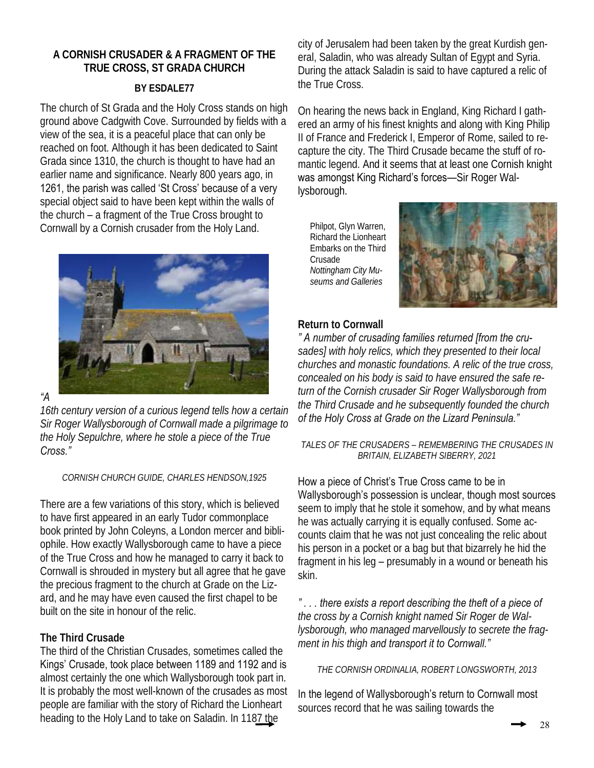# **A CORNISH CRUSADER & A FRAGMENT OF THE TRUE CROSS, ST GRADA CHURCH**

# **BY ESDALE77**

The church of St Grada and the Holy Cross stands on high ground above Cadgwith Cove. Surrounded by fields with a view of the sea, it is a peaceful place that can only be reached on foot. Although it has been dedicated to Saint Grada since 1310, the church is thought to have had an earlier name and significance. Nearly 800 years ago, in 1261, the parish was called 'St Cross' because of a very special object said to have been kept within the walls of the church – a fragment of the True Cross brought to Cornwall by a Cornish crusader from the Holy Land.



*"A* 

*16th century version of a curious legend tells how a certain Sir Roger Wallysborough of Cornwall made a pilgrimage to the Holy Sepulchre, where he stole a piece of the True Cross."* 

#### *CORNISH CHURCH GUIDE, CHARLES HENDSON,1925*

There are a few variations of this story, which is believed to have first appeared in an early Tudor commonplace book printed by John Coleyns, a London mercer and bibliophile. How exactly Wallysborough came to have a piece of the True Cross and how he managed to carry it back to Cornwall is shrouded in mystery but all agree that he gave the precious fragment to the church at Grade on the Lizard, and he may have even caused the first chapel to be built on the site in honour of the relic.

# **The Third Crusade**

The third of the Christian Crusades, sometimes called the Kings' Crusade, took place between 1189 and 1192 and is almost certainly the one which Wallysborough took part in. It is probably the most well-known of the crusades as most people are familiar with the story of Richard the Lionheart heading to the Holy Land to take on Saladin. In 1187 the

city of Jerusalem had been taken by the great Kurdish general, Saladin, who was already Sultan of Egypt and Syria. During the attack Saladin is said to have captured a relic of the True Cross.

On hearing the news back in England, King Richard I gathered an army of his finest knights and along with King Philip II of France and Frederick I, Emperor of Rome, sailed to recapture the city. The Third Crusade became the stuff of romantic legend. And it seems that at least one Cornish knight was amongst King Richard's forces—Sir Roger Wallysborough.

Philpot, Glyn Warren, Richard the Lionheart Embarks on the Third Crusade *Nottingham City Museums and Galleries*



# **Return to Cornwall**

*" A number of crusading families returned [from the crusades] with holy relics, which they presented to their local churches and monastic foundations. A relic of the true cross, concealed on his body is said to have ensured the safe return of the Cornish crusader Sir Roger Wallysborough from the Third Crusade and he subsequently founded the church of the Holy Cross at Grade on the Lizard Peninsula."*

*TALES OF THE CRUSADERS – REMEMBERING THE CRUSADES IN BRITAIN, ELIZABETH SIBERRY, 2021*

How a piece of Christ's True Cross came to be in Wallysborough's possession is unclear, though most sources seem to imply that he stole it somehow, and by what means he was actually carrying it is equally confused. Some accounts claim that he was not just concealing the relic about his person in a pocket or a bag but that bizarrely he hid the fragment in his leg – presumably in a wound or beneath his skin.

*" . . . there exists a report describing the theft of a piece of the cross by a Cornish knight named Sir Roger de Wallysborough, who managed marvellously to secrete the fragment in his thigh and transport it to Cornwall."*

*THE CORNISH ORDINALIA, ROBERT LONGSWORTH, 2013*

In the legend of Wallysborough's return to Cornwall most sources record that he was sailing towards the

28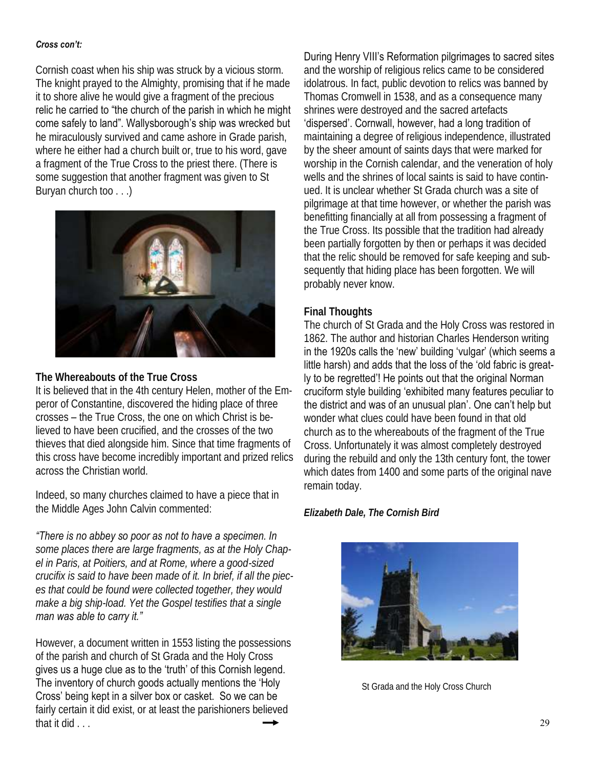#### *Cross con't:*

Cornish coast when his ship was struck by a vicious storm. The knight prayed to the Almighty, promising that if he made it to shore alive he would give a fragment of the precious relic he carried to "the church of the parish in which he might come safely to land". Wallysborough's ship was wrecked but he miraculously survived and came ashore in Grade parish, where he either had a church built or, true to his word, gave a fragment of the True Cross to the priest there. (There is some suggestion that another fragment was given to St Buryan church too . . .)



**The Whereabouts of the True Cross** 

It is believed that in the 4th century Helen, mother of the Emperor of Constantine, discovered the hiding place of three crosses – the True Cross, the one on which Christ is believed to have been crucified, and the crosses of the two thieves that died alongside him. Since that time fragments of this cross have become incredibly important and prized relics across the Christian world.

Indeed, so many churches claimed to have a piece that in the Middle Ages John Calvin commented:

*"There is no abbey so poor as not to have a specimen. In* 

*some places there are large fragments, as at the Holy Chapel in Paris, at Poitiers, and at Rome, where a good-sized crucifix is said to have been made of it. In brief, if all the pieces that could be found were collected together, they would make a big ship-load. Yet the Gospel testifies that a single man was able to carry it."*

However, a document written in 1553 listing the possessions of the parish and church of St Grada and the Holy Cross gives us a huge clue as to the 'truth' of this Cornish legend. The inventory of church goods actually mentions the 'Holy Cross' being kept in a silver box or casket. So we can be fairly certain it did exist, or at least the parishioners believed that it did . . .

#### During Henry VIII's Reformation pilgrimages to sacred sites

and the worship of religious relics came to be considered idolatrous. In fact, public devotion to relics was banned by Thomas Cromwell in 1538, and as a consequence many shrines were destroyed and the sacred artefacts

'dispersed'. Cornwall, however, had a long tradition of maintaining a degree of religious independence, illustrated by the sheer amount of saints days that were marked for worship in the Cornish calendar, and the veneration of holy wells and the shrines of local saints is said to have continued. It is unclear whether St Grada church was a site of pilgrimage at that time however, or whether the parish was benefitting financially at all from possessing a fragment of the True Cross. Its possible that the tradition had already been partially forgotten by then or perhaps it was decided that the relic should be removed for safe keeping and subsequently that hiding place has been forgotten. We will probably never know.

#### **Final Thoughts**

The church of St Grada and the Holy Cross was restored in 1862. The author and historian Charles Henderson writing in the 1920s calls the 'new' building 'vulgar' (which seems a little harsh) and adds that the loss of the 'old fabric is greatly to be regretted'! He points out that the original Norman cruciform style building 'exhibited many features peculiar to the district and was of an unusual plan'. One can't help but wonder what clues could have been found in that old church as to the whereabouts of the fragment of the True Cross. Unfortunately it was almost completely destroyed during the rebuild and only the 13th century font, the tower which dates from 1400 and some parts of the original nave remain today.

*Elizabeth Dale, The Cornish Bird*



St Grada and the Holy Cross Church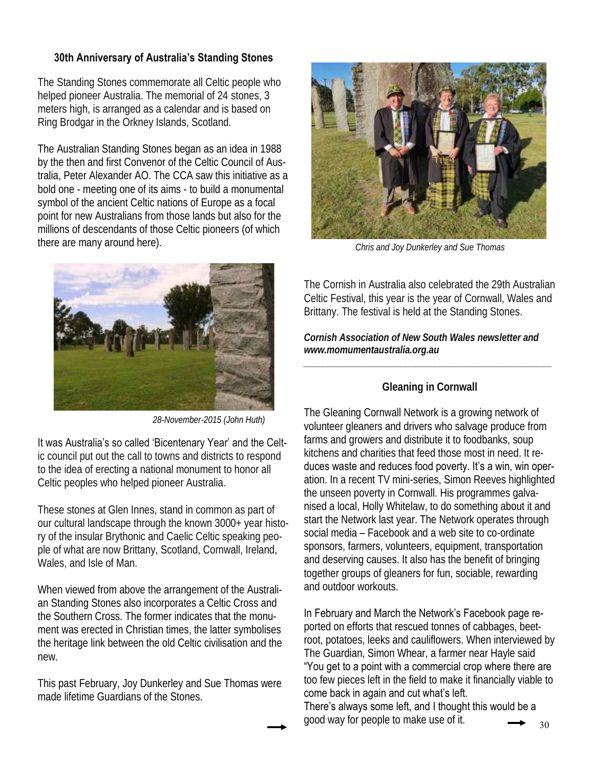# **30th Anniversary of Australia's Standing Stones**

The Standing Stones commemorate all Celtic people who helped pioneer Australia. The memorial of 24 stones, 3 meters high, is arranged as a calendar and is based on Ring Brodgar in the Orkney Islands, Scotland.

The Australian Standing Stones began as an idea in 1988 by the then and first Convenor of the Celtic Council of Australia, Peter Alexander AO. The CCA saw this initiative as a bold one - meeting one of its aims - to build a monumental symbol of the ancient Celtic nations of Europe as a focal point for new Australians from those lands but also for the millions of descendants of those Celtic pioneers (of which there are many around here).



*28-November-2015 (John Huth)* 

It was Australia's so called 'Bicentenary Year' and the Celtic council put out the call to towns and districts to respond to the idea of erecting a national monument to honor all Celtic peoples who helped pioneer Australia.

These stones at Glen Innes, stand in common as part of our cultural landscape through the known 3000+ year history of the insular Brythonic and Caelic Celtic speaking people of what are now Brittany, Scotland, Cornwall, Ireland, Wales, and Isle of Man.

When viewed from above the arrangement of the Australian Standing Stones also incorporates a Celtic Cross and the Southern Cross. The former indicates that the monument was erected in Christian times, the latter symbolises the heritage link between the old Celtic civilisation and the new.

This past February, Joy Dunkerley and Sue Thomas were made lifetime Guardians of the Stones.



*Chris and Joy Dunkerley and Sue Thomas*

The Cornish in Australia also celebrated the 29th Australian Celtic Festival, this year is the year of Cornwall, Wales and Brittany. The festival is held at the Standing Stones.

*Cornish Association of New South Wales newsletter and www.momumentaustralia.org.au*

# **Gleaning in Cornwall**

*\_\_\_\_\_\_\_\_\_\_\_\_\_\_\_\_\_\_\_\_\_\_\_\_\_\_\_\_\_\_\_\_\_\_\_\_\_\_\_\_\_\_\_\_\_\_\_\_\_\_\_*

The Gleaning Cornwall Network is a growing network of volunteer gleaners and drivers who salvage produce from farms and growers and distribute it to foodbanks, soup kitchens and charities that feed those most in need. It reduces waste and reduces food poverty. It's a win, win operation. In a recent TV mini-series, Simon Reeves highlighted the unseen poverty in Cornwall. His programmes galvanised a local, Holly Whitelaw, to do something about it and start the Network last year. The Network operates through social media – Facebook and a web site to co-ordinate sponsors, farmers, volunteers, equipment, transportation and deserving causes. It also has the benefit of bringing together groups of gleaners for fun, sociable, rewarding and outdoor workouts.

In February and March the Network's Facebook page re-

ported on efforts that rescued tonnes of cabbages, beetroot, potatoes, leeks and cauliflowers. When interviewed by The Guardian, Simon Whear, a farmer near Hayle said "You get to a point with a commercial crop where there are too few pieces left in the field to make it financially viable to come back in again and cut what's left.

There's always some left, and I thought this would be a good way for people to make use of it.  $\longrightarrow$  30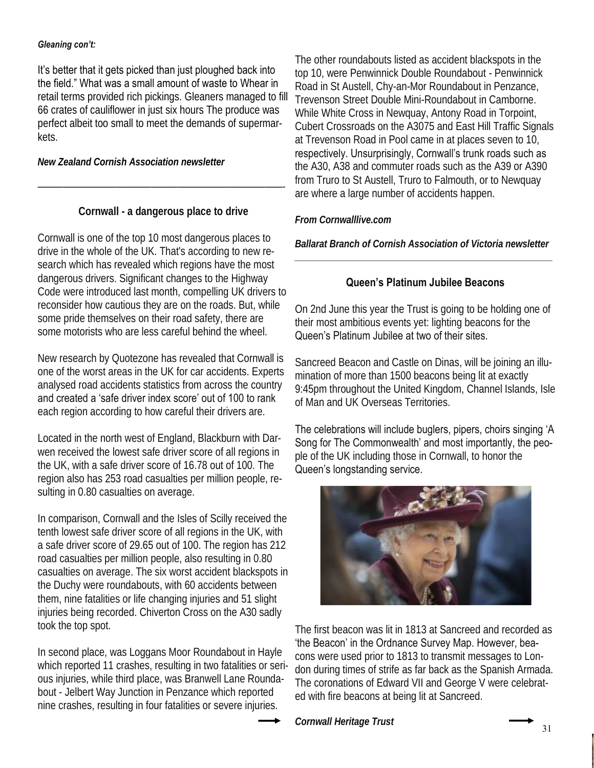#### *Gleaning con't:*

It's better that it gets picked than just ploughed back into the field." What was a small amount of waste to Whear in retail terms provided rich pickings. Gleaners managed to fill 66 crates of cauliflower in just six hours The produce was perfect albeit too small to meet the demands of supermarkets.

*New Zealand Cornish Association newsletter*

**Cornwall - a dangerous place to drive** 

————————————————————————————-

Cornwall is one of the top 10 most dangerous places to drive in the whole of the UK. That's according to new research which has revealed which regions have the most dangerous drivers. Significant changes to the Highway Code were introduced last month, compelling UK drivers to reconsider how cautious they are on the roads. But, while some pride themselves on their road safety, there are some motorists who are less careful behind the wheel.

New research by Quotezone has revealed that Cornwall is one of the worst areas in the UK for car accidents. Experts analysed road accidents statistics from across the country and created a 'safe driver index score' out of 100 to rank each region according to how careful their drivers are.

Located in the north west of England, Blackburn with Darwen received the lowest safe driver score of all regions in the UK, with a safe driver score of 16.78 out of 100. The region also has 253 road casualties per million people, resulting in 0.80 casualties on average.

In comparison, Cornwall and the Isles of Scilly received the tenth lowest safe driver score of all regions in the UK, with a safe driver score of 29.65 out of 100. The region has 212 road casualties per million people, also resulting in 0.80 casualties on average. The six worst accident blackspots in the Duchy were roundabouts, with 60 accidents between them, nine fatalities or life changing injuries and 51 slight injuries being recorded. Chiverton Cross on the A30 sadly took the top spot.

In second place, was Loggans Moor Roundabout in Hayle which reported 11 crashes, resulting in two fatalities or serious injuries, while third place, was Branwell Lane Roundabout - Jelbert Way Junction in Penzance which reported nine crashes, resulting in four fatalities or severe injuries.

The other roundabouts listed as accident blackspots in the top 10, were Penwinnick Double Roundabout - Penwinnick Road in St Austell, Chy-an-Mor Roundabout in Penzance, Trevenson Street Double Mini-Roundabout in Camborne. While White Cross in Newquay, Antony Road in Torpoint, Cubert Crossroads on the A3075 and East Hill Traffic Signals at Trevenson Road in Pool came in at places seven to 10, respectively. Unsurprisingly, Cornwall's trunk roads such as the A30, A38 and commuter roads such as the A39 or A390 from Truro to St Austell, Truro to Falmouth, or to Newquay are where a large number of accidents happen.

*From Cornwalllive.com*

*Ballarat Branch of Cornish Association of Victoria newsletter \_\_\_\_\_\_\_\_\_\_\_\_\_\_\_\_\_\_\_\_\_\_\_\_\_\_\_\_\_\_\_\_\_\_\_\_\_\_\_\_\_\_\_\_\_\_\_\_\_\_\_\_\_*

#### **Queen's Platinum Jubilee Beacons**

On 2nd June this year the Trust is going to be holding one of their most ambitious events yet: lighting beacons for the Queen's Platinum Jubilee at two of their sites.

Sancreed Beacon and Castle on Dinas, will be joining an illumination of more than 1500 beacons being lit at exactly 9:45pm throughout the United Kingdom, Channel Islands, Isle of Man and UK Overseas Territories.

The celebrations will include buglers, pipers, choirs singing 'A Song for The Commonwealth' and most importantly, the people of the UK including those in Cornwall, to honor the Queen's longstanding service.



The first beacon was lit in 1813 at Sancreed and recorded as 'the Beacon' in the Ordnance Survey Map. However, beacons were used prior to 1813 to transmit messages to London during times of strife as far back as the Spanish Armada. The coronations of Edward VII and George V were celebrated with fire beacons at being lit at Sancreed.

*Cornwall Heritage Trust*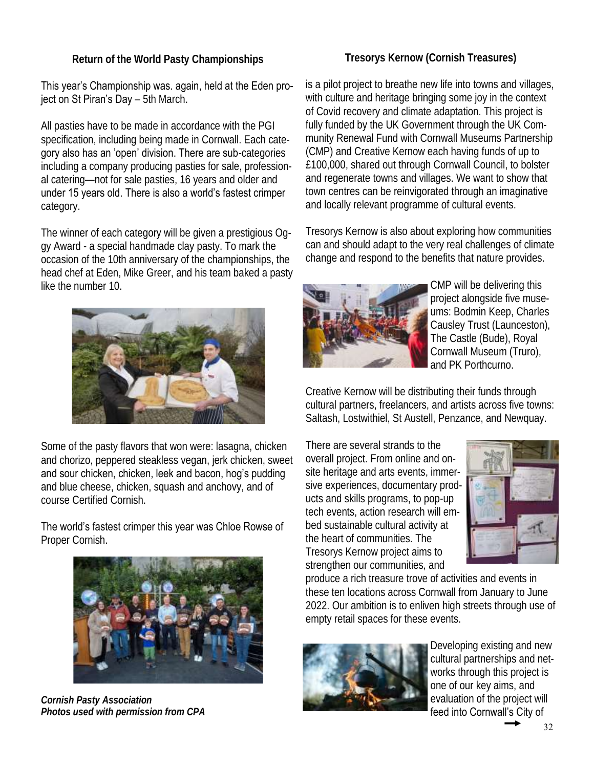# **Return of the World Pasty Championships**

# **Tresorys Kernow (Cornish Treasures)**

This year's Championship was. again, held at the Eden project on St Piran's Day - 5th March.

All pasties have to be made in accordance with the PGI specification, including being made in Cornwall. Each category also has an 'open' division. There are sub-categories including a company producing pasties for sale, professional catering—not for sale pasties, 16 years and older and under 15 years old. There is also a world's fastest crimper category.

The winner of each category will be given a prestigious Oggy Award - a special handmade clay pasty. To mark the occasion of the 10th anniversary of the championships, the head chef at Eden, Mike Greer, and his team baked a pasty like the number 10.



Some of the pasty flavors that won were: lasagna, chicken and chorizo, peppered steakless vegan, jerk chicken, sweet and sour chicken, chicken, leek and bacon, hog's pudding and blue cheese, chicken, squash and anchovy, and of course Certified Cornish.

The world's fastest crimper this year was Chloe Rowse of Proper Cornish.



*Cornish Pasty Association Photos used with permission from CPA*

is a pilot project to breathe new life into towns and villages, with culture and heritage bringing some joy in the context of Covid recovery and climate adaptation. This project is fully funded by the UK Government through the UK Community Renewal Fund with Cornwall Museums Partnership (CMP) and Creative Kernow each having funds of up to £100,000, shared out through Cornwall Council, to bolster and regenerate towns and villages. We want to show that town centres can be reinvigorated through an imaginative and locally relevant programme of cultural events.

Tresorys Kernow is also about exploring how communities can and should adapt to the very real challenges of climate change and respond to the benefits that nature provides.



CMP will be delivering this project alongside five museums: Bodmin Keep, Charles Causley Trust (Launceston), The Castle (Bude), Royal Cornwall Museum (Truro), and PK Porthcurno.

Creative Kernow will be distributing their funds through cultural partners, freelancers, and artists across five towns: Saltash, Lostwithiel, St Austell, Penzance, and Newquay.

There are several strands to the overall project. From online and onsite heritage and arts events, immersive experiences, documentary products and skills programs, to pop-up tech events, action research will embed sustainable cultural activity at the heart of communities. The Tresorys Kernow project aims to strengthen our communities, and



produce a rich treasure trove of activities and events in these ten locations across Cornwall from January to June 2022. Our ambition is to enliven high streets through use of empty retail spaces for these events.



Developing existing and new cultural partnerships and networks through this project is one of our key aims, and evaluation of the project will feed into Cornwall's City of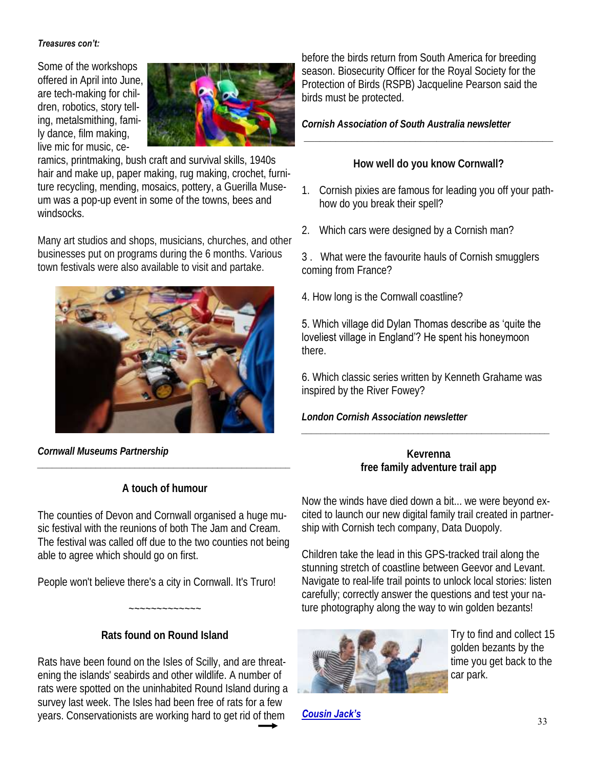#### *Treasures con't:*

Some of the workshops offered in April into June, are tech-making for children, robotics, story telling, metalsmithing, family dance, film making, live mic for music, ce-



ramics, printmaking, bush craft and survival skills, 1940s hair and make up, paper making, rug making, crochet, furniture recycling, mending, mosaics, pottery, a Guerilla Museum was a pop-up event in some of the towns, bees and windsocks.

Many art studios and shops, musicians, churches, and other businesses put on programs during the 6 months. Various town festivals were also available to visit and partake.



*Cornwall Museums Partnership*

# **A touch of humour**

*\_\_\_\_\_\_\_\_\_\_\_\_\_\_\_\_\_\_\_\_\_\_\_\_\_\_\_\_\_\_\_\_\_\_\_\_\_\_\_\_\_\_\_\_\_\_\_\_\_\_\_\_*

The counties of Devon and Cornwall organised a huge music festival with the reunions of both The Jam and Cream. The festival was called off due to the two counties not being able to agree which should go on first.

People won't believe there's a city in Cornwall. It's Truro!

# **Rats found on Round Island**

~~~~~~~~~~~~~

Rats have been found on the Isles of Scilly, and are threatening the islands' seabirds and other wildlife. A number of rats were spotted on the uninhabited Round Island during a survey last week. The Isles had been free of rats for a few years. Conservationists are working hard to get rid of them **Cousin Jack's Symbolic Conservationists** 33

before the birds return from South America for breeding season. Biosecurity Officer for the Royal Society for the Protection of Birds (RSPB) Jacqueline Pearson said the birds must be protected.

*Cornish Association of South Australia newsletter*

**How well do you know Cornwall?** 

**\_\_\_\_\_\_\_\_\_\_\_\_\_\_\_\_\_\_\_\_\_\_\_\_\_\_\_\_\_\_\_\_\_\_\_\_\_\_\_\_\_\_\_\_\_\_\_**

- 1. Cornish pixies are famous for leading you off your pathhow do you break their spell?
- 2. Which cars were designed by a Cornish man?
- 3 . What were the favourite hauls of Cornish smugglers coming from France?
- 4. How long is the Cornwall coastline?

#### 5. Which village did Dylan Thomas describe as 'quite the loveliest village in England'? He spent his honeymoon there.

6. Which classic series written by Kenneth Grahame was inspired by the River Fowey?

*London Cornish Association newsletter*

**Kevrenna** **free family adventure trail app**

*\_\_\_\_\_\_\_\_\_\_\_\_\_\_\_\_\_\_\_\_\_\_\_\_\_\_\_\_\_\_\_\_\_\_\_\_\_\_\_\_\_\_\_\_\_\_\_\_\_\_\_*

Now the winds have died down a bit... we were beyond excited to launch our new digital family trail created in partnership with Cornish tech company, Data Duopoly.

Children take the lead in this GPS-tracked trail along the stunning stretch of coastline between Geevor and Levant. Navigate to real-life trail points to unlock local stories: listen carefully; correctly answer the questions and test your nature photography along the way to win golden bezants!



Try to find and collect 15 golden bezants by the time you get back to the car park.

*Cousin Jack's*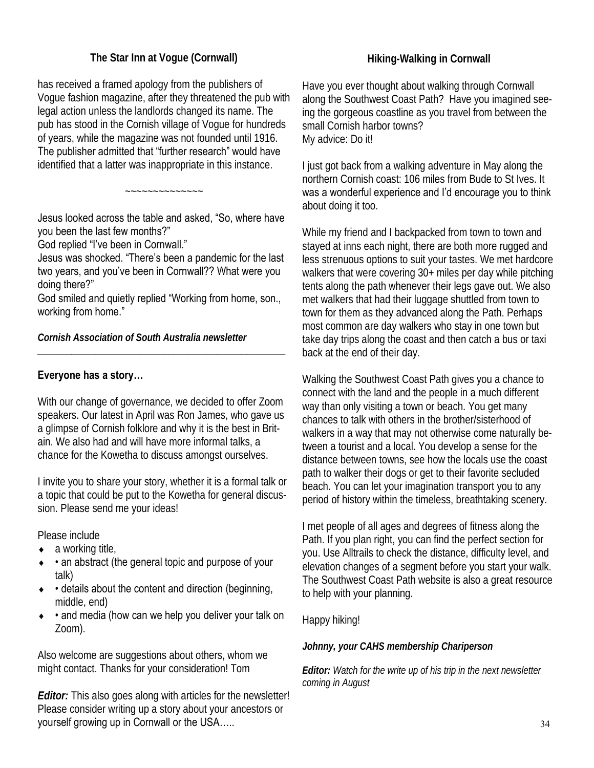# **The Star Inn at Vogue (Cornwall)**

has received a framed apology from the publishers of Vogue fashion magazine, after they threatened the pub with legal action unless the landlords changed its name. The pub has stood in the Cornish village of Vogue for hundreds of years, while the magazine was not founded until 1916. The publisher admitted that "further research" would have identified that a latter was inappropriate in this instance.

Jesus looked across the table and asked, "So, where have you been the last few months?"

~~~~~~~~~~~~~~

God replied "I've been in Cornwall."

Jesus was shocked. "There's been a pandemic for the last two years, and you've been in Cornwall?? What were you doing there?"

God smiled and quietly replied "Working from home, son., working from home."

*\_\_\_\_\_\_\_\_\_\_\_\_\_\_\_\_\_\_\_\_\_\_\_\_\_\_\_\_\_\_\_\_\_\_\_\_\_\_\_\_\_\_\_\_\_\_\_\_\_\_\_*

*Cornish Association of South Australia newsletter*

#### **Everyone has a story…**

With our change of governance, we decided to offer Zoom speakers. Our latest in April was Ron James, who gave us a glimpse of Cornish folklore and why it is the best in Britain. We also had and will have more informal talks, a chance for the Kowetha to discuss amongst ourselves.

I invite you to share your story, whether it is a formal talk or a topic that could be put to the Kowetha for general discussion. Please send me your ideas!

Please include

- $\bullet$  a working title,
- an abstract (the general topic and purpose of your talk)
- $\bullet$  details about the content and direction (beginning, middle, end)
- and media (how can we help you deliver your talk on Zoom).

Also welcome are suggestions about others, whom we might contact. Thanks for your consideration! Tom

*Editor:* This also goes along with articles for the newsletter! Please consider writing up a story about your ancestors or yourself growing up in Cornwall or the USA.....

# **Hiking-Walking in Cornwall**

Have you ever thought about walking through Cornwall along the Southwest Coast Path? Have you imagined seeing the gorgeous coastline as you travel from between the small Cornish harbor towns? My advice: Do it!

I just got back from a walking adventure in May along the northern Cornish coast: 106 miles from Bude to St Ives. It was a wonderful experience and I'd encourage you to think about doing it too.

While my friend and I backpacked from town to town and stayed at inns each night, there are both more rugged and less strenuous options to suit your tastes. We met hardcore walkers that were covering 30+ miles per day while pitching tents along the path whenever their legs gave out. We also met walkers that had their luggage shuttled from town to town for them as they advanced along the Path. Perhaps most common are day walkers who stay in one town but take day trips along the coast and then catch a bus or taxi back at the end of their day.

Walking the Southwest Coast Path gives you a chance to connect with the land and the people in a much different way than only visiting a town or beach. You get many chances to talk with others in the brother/sisterhood of walkers in a way that may not otherwise come naturally between a tourist and a local. You develop a sense for the distance between towns, see how the locals use the coast path to walker their dogs or get to their favorite secluded beach. You can let your imagination transport you to any period of history within the timeless, breathtaking scenery.

I met people of all ages and degrees of fitness along the Path. If you plan right, you can find the perfect section for you. Use Alltrails to check the distance, difficulty level, and elevation changes of a segment before you start your walk. The Southwest Coast Path website is also a great resource to help with your planning.

Happy hiking!

*Johnny, your CAHS membership Chariperson*

*Editor: Watch for the write up of his trip in the next newsletter coming in August*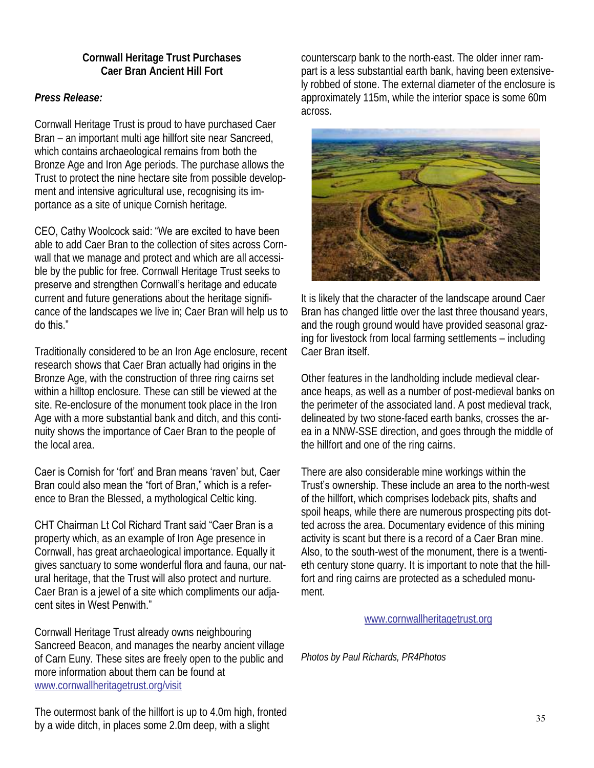#### **Cornwall Heritage Trust Purchases Caer Bran Ancient Hill Fort**

# *Press Release:*

Cornwall Heritage Trust is proud to have purchased Caer Bran – an important multi age hillfort site near Sancreed, which contains archaeological remains from both the Bronze Age and Iron Age periods. The purchase allows the Trust to protect the nine hectare site from possible development and intensive agricultural use, recognising its importance as a site of unique Cornish heritage.

CEO, Cathy Woolcock said: "We are excited to have been able to add Caer Bran to the collection of sites across Cornwall that we manage and protect and which are all accessible by the public for free. Cornwall Heritage Trust seeks to preserve and strengthen Cornwall's heritage and educate current and future generations about the heritage significance of the landscapes we live in; Caer Bran will help us to do this."

Traditionally considered to be an Iron Age enclosure, recent research shows that Caer Bran actually had origins in the Bronze Age, with the construction of three ring cairns set within a hilltop enclosure. These can still be viewed at the site. Re-enclosure of the monument took place in the Iron Age with a more substantial bank and ditch, and this continuity shows the importance of Caer Bran to the people of the local area.

Caer is Cornish for 'fort' and Bran means 'raven' but, Caer Bran could also mean the "fort of Bran," which is a reference to Bran the Blessed, a mythological Celtic king.

CHT Chairman Lt Col Richard Trant said "Caer Bran is a

property which, as an example of Iron Age presence in Cornwall, has great archaeological importance. Equally it gives sanctuary to some wonderful flora and fauna, our natural heritage, that the Trust will also protect and nurture. Caer Bran is a jewel of a site which compliments our adjacent sites in West Penwith."

Cornwall Heritage Trust already owns neighbouring Sancreed Beacon, and manages the nearby ancient village of Carn Euny. These sites are freely open to the public and more information about them can be found at www.cornwallheritagetrust.org/visit

The outermost bank of the hillfort is up to 4.0m high, fronted by a wide ditch, in places some 2.0m deep, with a slight

counterscarp bank to the north-east. The older inner rampart is a less substantial earth bank, having been extensively robbed of stone. The external diameter of the enclosure is approximately 115m, while the interior space is some 60m across.



It is likely that the character of the landscape around Caer Bran has changed little over the last three thousand years, and the rough ground would have provided seasonal grazing for livestock from local farming settlements – including Caer Bran itself.

Other features in the landholding include medieval clearance heaps, as well as a number of post-medieval banks on the perimeter of the associated land. A post medieval track, delineated by two stone-faced earth banks, crosses the area in a NNW-SSE direction, and goes through the middle of the hillfort and one of the ring cairns.

There are also considerable mine workings within the Trust's ownership. These include an area to the north-west of the hillfort, which comprises lodeback pits, shafts and spoil heaps, while there are numerous prospecting pits dotted across the area. Documentary evidence of this mining activity is scant but there is a record of a Caer Bran mine. Also, to the south-west of the monument, there is a twentieth century stone quarry. It is important to note that the hillfort and ring cairns are protected as a scheduled monument.

www.cornwallheritagetrust.org

*Photos by Paul Richards, PR4Photos*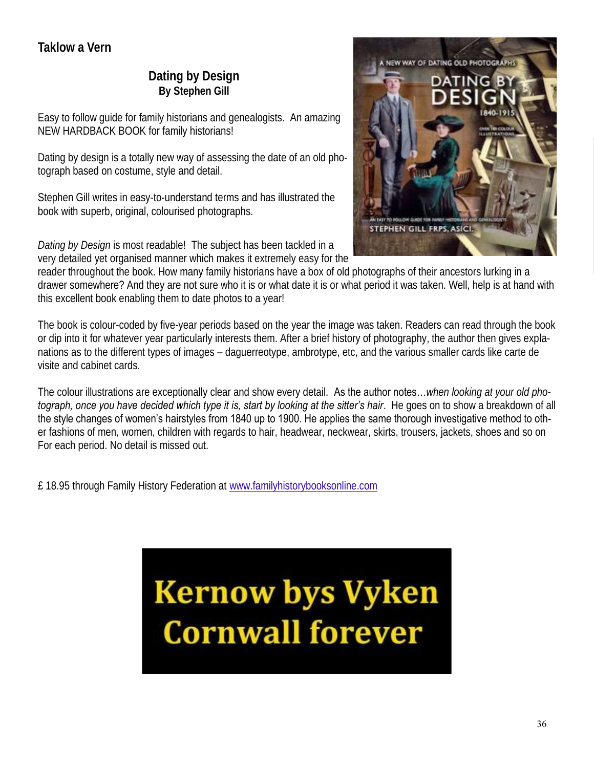# **Dating by Design By Stephen Gill**

Easy to follow guide for family historians and genealogists. An amazing NEW HARDBACK BOOK for family historians!

Dating by design is a totally new way of assessing the date of an old photograph based on costume, style and detail.

Stephen Gill writes in easy-to-understand terms and has illustrated the book with superb, original, colourised photographs.

*Dating by Design* is most readable! The subject has been tackled in a very detailed yet organised manner which makes it extremely easy for the



reader throughout the book. How many family historians have a box of old photographs of their ancestors lurking in a drawer somewhere? And they are not sure who it is or what date it is or what period it was taken. Well, help is at hand with this excellent book enabling them to date photos to a year!

The book is colour-coded by five-year periods based on the year the image was taken. Readers can read through the book or dip into it for whatever year particularly interests them. After a brief history of photography, the author then gives explanations as to the different types of images – daguerreotype, ambrotype, etc, and the various smaller cards like carte de visite and cabinet cards.

The colour illustrations are exceptionally clear and show every detail. As the author notes…*when looking at your old photograph, once you have decided which type it is, start by looking at the sitter's hair*. He goes on to show a breakdown of all the style changes of women's hairstyles from 1840 up to 1900. He applies the same thorough investigative method to other fashions of men, women, children with regards to hair, headwear, neckwear, skirts, trousers, jackets, shoes and so on For each period. No detail is missed out.

£ 18.95 through Family History Federation at www.familyhistorybooksonline.com

# **Kernow bys Vyken Cornwall forever**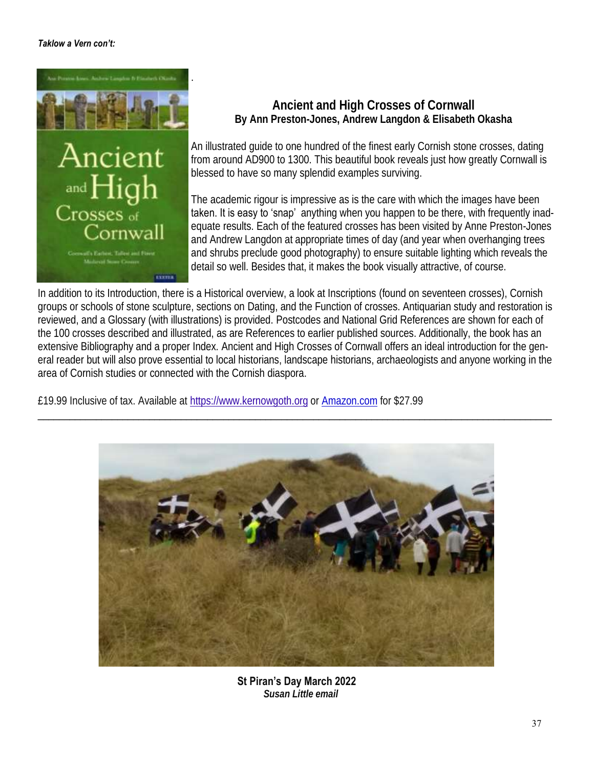#### *Taklow a Vern con't:*



# **Ancient and High Crosses of Cornwall By Ann Preston-Jones, Andrew Langdon & Elisabeth Okasha**

An illustrated guide to one hundred of the finest early Cornish stone crosses, dating from around AD900 to 1300. This beautiful book reveals just how greatly Cornwall is blessed to have so many splendid examples surviving.

The academic rigour is impressive as is the care with which the images have been taken. It is easy to 'snap' anything when you happen to be there, with frequently inadequate results. Each of the featured crosses has been visited by Anne Preston-Jones and Andrew Langdon at appropriate times of day (and year when overhanging trees and shrubs preclude good photography) to ensure suitable lighting which reveals the detail so well. Besides that, it makes the book visually attractive, of course.

In addition to its Introduction, there is a Historical overview, a look at Inscriptions (found on seventeen crosses), Cornish groups or schools of stone sculpture, sections on Dating, and the Function of crosses. Antiquarian study and restoration is reviewed, and a Glossary (with illustrations) is provided. Postcodes and National Grid References are shown for each of the 100 crosses described and illustrated, as are References to earlier published sources. Additionally, the book has an extensive Bibliography and a proper Index*.* Ancient and High Crosses of Cornwall offers an ideal introduction for the general reader but will also prove essential to local historians, landscape historians, archaeologists and anyone working in the area of Cornish studies or connected with the Cornish diaspora.

 $\_$  ,  $\_$  ,  $\_$  ,  $\_$  ,  $\_$  ,  $\_$  ,  $\_$  ,  $\_$  ,  $\_$  ,  $\_$  ,  $\_$  ,  $\_$  ,  $\_$  ,  $\_$  ,  $\_$  ,  $\_$  ,  $\_$  ,  $\_$  ,  $\_$  ,  $\_$  ,  $\_$  ,  $\_$  ,  $\_$  ,  $\_$  ,  $\_$  ,  $\_$  ,  $\_$  ,  $\_$  ,  $\_$  ,  $\_$  ,  $\_$  ,  $\_$  ,  $\_$  ,  $\_$  ,  $\_$  ,  $\_$  ,  $\_$  ,

£19.99 Inclusive of tax. Available at https://www.kernowgoth.org or Amazon.com for \$27.99



**St Piran's Day March 2022** *Susan Little email*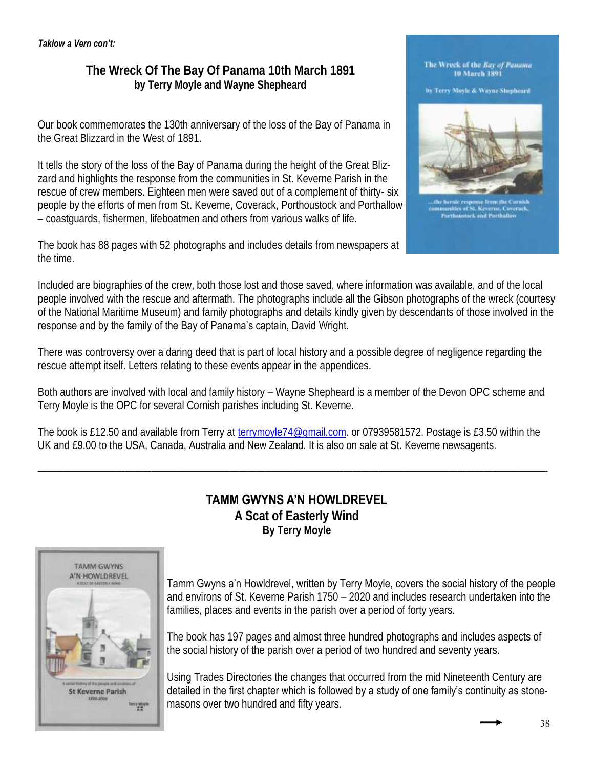# **The Wreck Of The Bay Of Panama 10th March 1891 by Terry Moyle and Wayne Shepheard**

Our book commemorates the 130th anniversary of the loss of the Bay of Panama in the Great Blizzard in the West of 1891.

It tells the story of the loss of the Bay of Panama during the height of the Great Blizzard and highlights the response from the communities in St. Keverne Parish in the rescue of crew members. Eighteen men were saved out of a complement of thirty- six people by the efforts of men from St. Keverne, Coverack, Porthoustock and Porthallow – coastguards, fishermen, lifeboatmen and others from various walks of life.

The book has 88 pages with 52 photographs and includes details from newspapers at the time.

#### Included are biographies of the crew, both those lost and those saved, where information was available, and of the local people involved with the rescue and aftermath. The photographs include all the Gibson photographs of the wreck (courtesy of the National Maritime Museum) and family photographs and details kindly given by descendants of those involved in the response and by the family of the Bay of Panama's captain, David Wright.

There was controversy over a daring deed that is part of local history and a possible degree of negligence regarding the rescue attempt itself. Letters relating to these events appear in the appendices.

Both authors are involved with local and family history – Wayne Shepheard is a member of the Devon OPC scheme and Terry Moyle is the OPC for several Cornish parishes including St. Keverne.

The book is £12.50 and available from Terry at terrymoyle74@gmail.com. or 07939581572. Postage is £3.50 within the UK and £9.00 to the USA, Canada, Australia and New Zealand. It is also on sale at St. Keverne newsagents.



**TAMM GWYNS A'N HOWLDREVEL** 

*——————————————————————————————————————————————————————————-*

**A Scat of Easterly Wind By Terry Moyle**

Tamm Gwyns a'n Howldrevel, written by Terry Moyle, covers the social history of the people and environs of St. Keverne Parish 1750 – 2020 and includes research undertaken into the families, places and events in the parish over a period of forty years.

The book has 197 pages and almost three hundred photographs and includes aspects of the social history of the parish over a period of two hundred and seventy years.

Using Trades Directories the changes that occurred from the mid Nineteenth Century are detailed in the first chapter which is followed by a study of one family's continuity as stonemasons over two hundred and fifty years.

#### The Wreck of the Bay of Panama 10 March 1891

by Terry Moyle & Wayne Shepheard

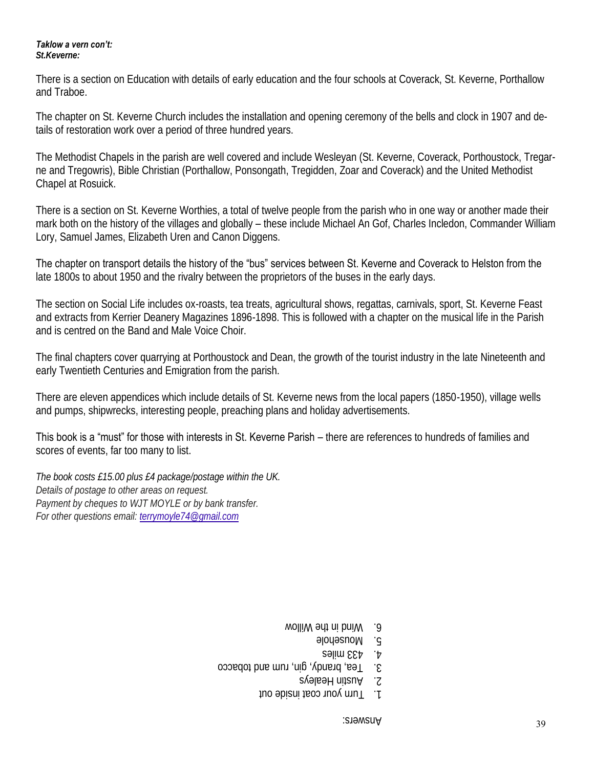#### *Taklow a vern con't:*

*St.Keverne:*

There is a section on Education with details of early education and the four schools at Coverack, St. Keverne, Porthallow and Traboe.

The chapter on St. Keverne Church includes the installation and opening ceremony of the bells and clock in 1907 and details of restoration work over a period of three hundred years.

The Methodist Chapels in the parish are well covered and include Wesleyan (St. Keverne, Coverack, Porthoustock, Tregarne and Tregowris), Bible Christian (Porthallow, Ponsongath, Tregidden, Zoar and Coverack) and the United Methodist Chapel at Rosuick.

There is a section on St. Keverne Worthies, a total of twelve people from the parish who in one way or another made their mark both on the history of the villages and globally – these include Michael An Gof, Charles Incledon, Commander William Lory, Samuel James, Elizabeth Uren and Canon Diggens.

The chapter on transport details the history of the "bus" services between St. Keverne and Coverack to Helston from the late 1800s to about 1950 and the rivalry between the proprietors of the buses in the early days.

The section on Social Life includes ox-roasts, tea treats, agricultural shows, regattas, carnivals, sport, St. Keverne Feast and extracts from Kerrier Deanery Magazines 1896-1898. This is followed with a chapter on the musical life in the Parish and is centred on the Band and Male Voice Choir.

The final chapters cover quarrying at Porthoustock and Dean, the growth of the tourist industry in the late Nineteenth and early Twentieth Centuries and Emigration from the parish.

There are eleven appendices which include details of St. Keverne news from the local papers (1850-1950), village wells and pumps, shipwrecks, interesting people, preaching plans and holiday advertisements.

This book is a "must" for those with interests in St. Keverne Parish – there are references to hundreds of families and scores of events, far too many to list.

*The book costs £15.00 plus £4 package/postage within the UK. Details of postage to other areas on request. Payment by cheques to WJT MOYLE or by bank transfer. For other questions email: terrymoyle74@gmail.com*

- 6. Wind in the Willow
	- 5. Mousehole
	- 4. 433 miles
- 3. Tea, brandy, gin, rum and tobacco
	- 2. Austin Healeys
	- T. Turn your coat inside out

Answers: